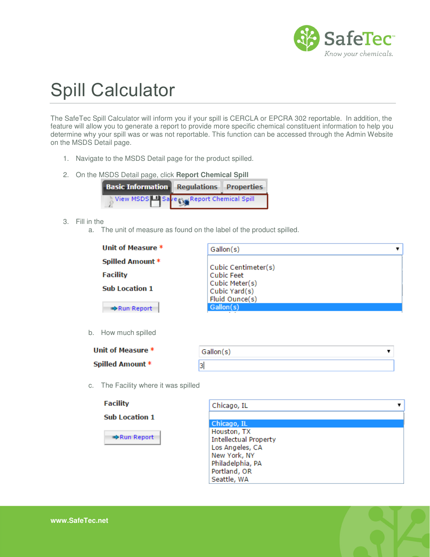

## Spill Calculator

The SafeTec Spill Calculator will inform you if your spill is CERCLA or EPCRA 302 reportable. In addition, the feature will allow you to generate a report to provide more specific chemical constituent information to help you determine why your spill was or was not reportable. This function can be accessed through the Admin Website on the MSDS Detail page.

- 1. Navigate to the MSDS Detail page for the product spilled.
- 2. On the MSDS Detail page, click **Report Chemical Spill**



- 3. Fill in the
	- a. The unit of measure as found on the label of the product spilled.

| Cubic Feet                                        |                     |
|---------------------------------------------------|---------------------|
| Cubic Meter(s)<br>Cubic Yard(s)<br>Fluid Ounce(s) |                     |
| Gallon(s)                                         |                     |
|                                                   | Cubic Centimeter(s) |

b. How

| Unit of Measure *       |  |
|-------------------------|--|
| <b>Spilled Amount *</b> |  |

| Gallon(s) |  |  |
|-----------|--|--|
| ب         |  |  |

c. The Facility where it was spilled



Run Report

| Chicago, IL                  |  |
|------------------------------|--|
|                              |  |
| Chicago, IL                  |  |
| Houston, TX                  |  |
| <b>Intellectual Property</b> |  |
| Los Angeles, CA              |  |
| New York, NY                 |  |
| Philadelphia, PA             |  |
| Portland, OR                 |  |
| Seattle, WA                  |  |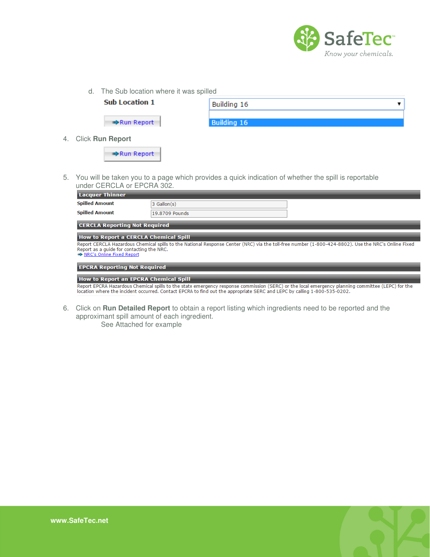

d. The Sub location where it was spilled



4. Click **Run Report** 

Run Report

5. You will be taken you to a page which provides a quick indication of whether the spill is reportable under CERCLA or EPCRA 302.

| <b>Lacquer Thinner</b>                                                                                                                                                                                                        |                |  |  |  |
|-------------------------------------------------------------------------------------------------------------------------------------------------------------------------------------------------------------------------------|----------------|--|--|--|
| <b>Spilled Amount</b>                                                                                                                                                                                                         | 3 Gallon(s)    |  |  |  |
| <b>Spilled Amount</b>                                                                                                                                                                                                         | 19,8709 Pounds |  |  |  |
| <b>CERCLA Reporting Not Required</b>                                                                                                                                                                                          |                |  |  |  |
| <b>How to Report a CERCLA Chemical Spill</b>                                                                                                                                                                                  |                |  |  |  |
| Report CERCLA Hazardous Chemical spills to the National Response Center (NRC) via the toll-free number (1-800-424-8802). Use the NRC's Online Fixed<br>Report as a guide for contacting the NRC.<br>NRC's Online Fixed Report |                |  |  |  |

## **EPCRA Reporting Not Required**

## **How to Report an EPCRA Chemical Spill**

Report EPCRA Hazardous Chemical spills to the state emergency response commission (SERC) or the local emergency planning committee (LEPC) for the<br>location where the incident occurred. Contact EPCRA to find out the appropri

6. Click on **Run Detailed Report** to obtain a report listing which ingredients need to be reported and the approximant spill amount of each ingredient. See Attached for example

**www.SafeTec.net**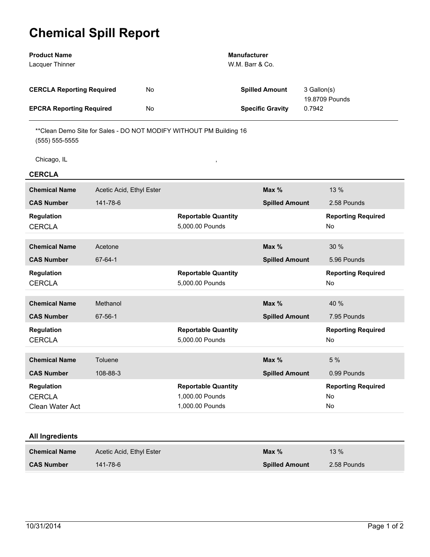## **Chemical Spill Report**

| <b>Product Name</b><br>Lacquer Thinner                |                          |    |                                                                     | <b>Manufacturer</b><br>W.M. Barr & Co. |                       |                |                                       |
|-------------------------------------------------------|--------------------------|----|---------------------------------------------------------------------|----------------------------------------|-----------------------|----------------|---------------------------------------|
| <b>CERCLA Reporting Required</b>                      |                          | No |                                                                     |                                        | <b>Spilled Amount</b> | 3 Gallon(s)    |                                       |
| <b>EPCRA Reporting Required</b>                       |                          | No |                                                                     | <b>Specific Gravity</b><br>0.7942      |                       | 19.8709 Pounds |                                       |
| $(555) 555-5555$                                      |                          |    | ** Clean Demo Site for Sales - DO NOT MODIFY WITHOUT PM Building 16 |                                        |                       |                |                                       |
| Chicago, IL                                           |                          |    | $\,$                                                                |                                        |                       |                |                                       |
| <b>CERCLA</b>                                         |                          |    |                                                                     |                                        |                       |                |                                       |
| <b>Chemical Name</b>                                  | Acetic Acid, Ethyl Ester |    |                                                                     |                                        | Max %                 |                | 13 %                                  |
| <b>CAS Number</b>                                     | 141-78-6                 |    |                                                                     |                                        | <b>Spilled Amount</b> |                | 2.58 Pounds                           |
| <b>Regulation</b><br><b>CERCLA</b>                    |                          |    | <b>Reportable Quantity</b><br>5,000.00 Pounds                       |                                        |                       |                | <b>Reporting Required</b><br>No       |
| <b>Chemical Name</b>                                  | Acetone                  |    |                                                                     |                                        | Max %                 |                | 30%                                   |
| <b>CAS Number</b>                                     | 67-64-1                  |    |                                                                     |                                        | <b>Spilled Amount</b> |                | 5.96 Pounds                           |
| <b>Regulation</b><br><b>CERCLA</b>                    |                          |    | <b>Reportable Quantity</b><br>5,000.00 Pounds                       |                                        |                       |                | <b>Reporting Required</b><br>No       |
| <b>Chemical Name</b>                                  | Methanol                 |    |                                                                     |                                        | Max %                 |                | 40 %                                  |
| <b>CAS Number</b>                                     | 67-56-1                  |    |                                                                     |                                        | <b>Spilled Amount</b> |                | 7.95 Pounds                           |
| <b>Regulation</b><br><b>CERCLA</b>                    |                          |    | <b>Reportable Quantity</b><br>5,000.00 Pounds                       |                                        |                       |                | <b>Reporting Required</b><br>No       |
| <b>Chemical Name</b>                                  | Toluene                  |    |                                                                     |                                        | Max %                 |                | 5 %                                   |
| <b>CAS Number</b>                                     | 108-88-3                 |    |                                                                     |                                        | <b>Spilled Amount</b> |                | 0.99 Pounds                           |
| <b>Regulation</b><br><b>CERCLA</b><br>Clean Water Act |                          |    | <b>Reportable Quantity</b><br>1,000.00 Pounds<br>1,000.00 Pounds    |                                        |                       |                | <b>Reporting Required</b><br>No<br>No |
| All Ingradiants                                       |                          |    |                                                                     |                                        |                       |                |                                       |

| All Ingredients |  |
|-----------------|--|
|                 |  |

| <b>Chemical Name</b> | Acetic Acid, Ethyl Ester | Max $%$               | $13 \%$     |
|----------------------|--------------------------|-----------------------|-------------|
| <b>CAS Number</b>    | $141 - 78 - 6$           | <b>Spilled Amount</b> | 2.58 Pounds |